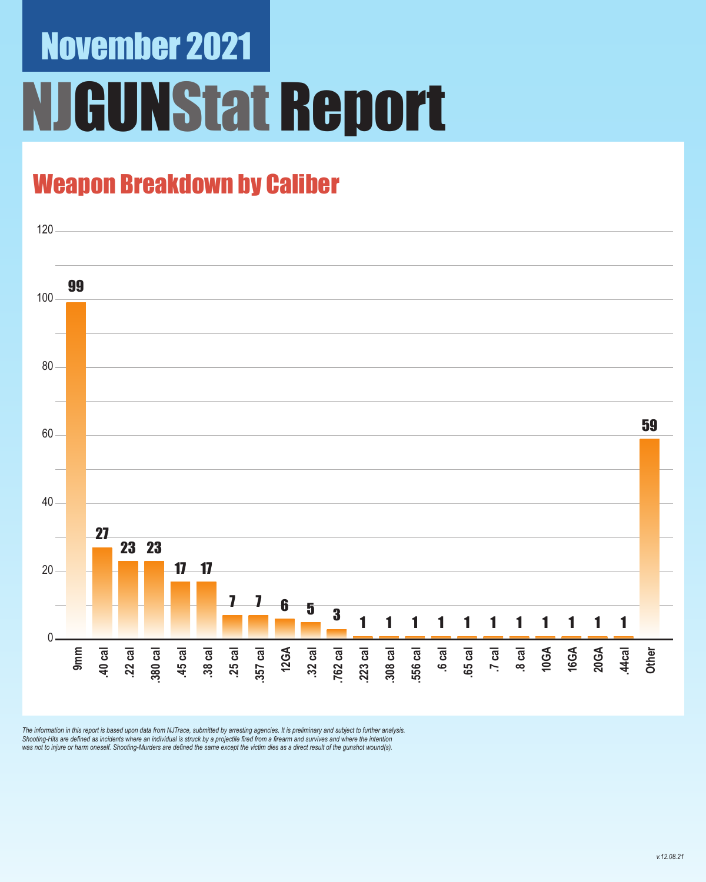# November 2021 **GUNStat Report**

### Weapon Breakdown by Caliber



The information in this report is based upon data from NJTrace, submitted by arresting agencies. It is preliminary and subject to further analysis.<br>Shooting-Hits are defined as incidents where an individual is struck by a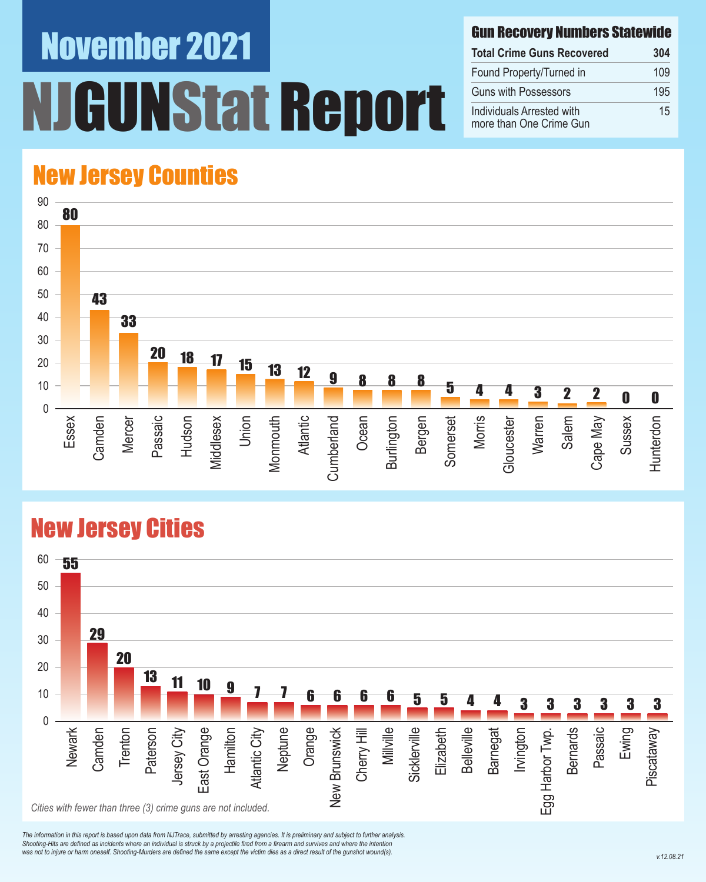# November 2021 **INStat Report**

#### Gun Recovery Numbers Statewide

| <b>Total Crime Guns Recovered</b>                    | 304 |
|------------------------------------------------------|-----|
| Found Property/Turned in                             | 109 |
| <b>Guns with Possessors</b>                          | 195 |
| Individuals Arrested with<br>more than One Crime Gun | 15  |

### New Jersey Counties



#### New Jersey Cities



*The information in this report is based upon data from NJTrace, submitted by arresting agencies. It is preliminary and subject to further analysis. Shooting-Hits are defined as incidents where an individual is struck by a projectile fired from a firearm and survives and where the intention*  was not to injure or harm oneself. Shooting-Murders are defined the same except the victim dies as a direct result of the gunshot wound(s).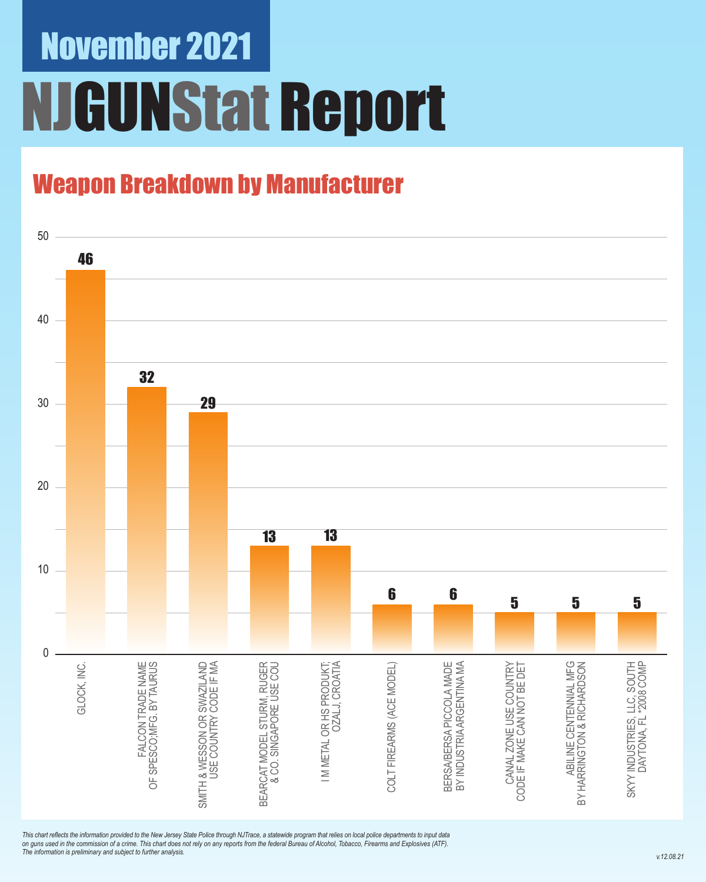# November 2021 NJGUNStat Report

### Weapon Breakdown by Manufacturer



*This chart reflects the information provided to the New Jersey State Police through NJTrace, a statewide program that relies on local police departments to input data on guns used in the commission of a crime. This chart does not rely on any reports from the federal Bureau of Alcohol, Tobacco, Firearms and Explosives (ATF). The information is preliminary and subject to further analysis.*